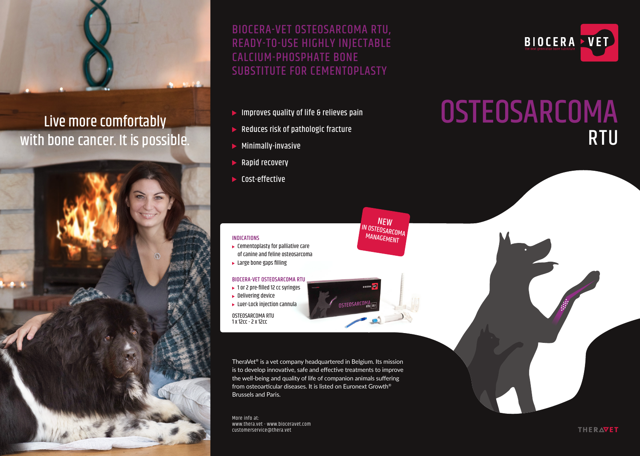

## Live more comfortably with bone cancer. It is possible.



BIOCERA-VET OSTEOSARCOMA RTU, READY-TO-USE HIGHLY INJECTABLE CALCIUM-PHOSPHATE BONE SUBSTITUTE FOR CEMENTOPLASTY

- $\blacktriangleright$  Improves quality of life & relieves pain
- $\blacktriangleright$  Reduces risk of pathologic fracture
- $\blacktriangleright$  Minimally-invasive
- $\blacktriangleright$  Rapid recovery
- ▶ Cost-effective

# **OSTEOSARCOMA** RTU

BIOCERA VET

#### INDICATIONS

 $\blacktriangleright$  Cementoplasty for palliative care of canine and feline osteosarcoma  $\blacktriangleright$  Large bone gaps filling

#### BIOCERA-VET OSTEOSARCOMA RTU

- $\blacktriangleright$  1 or 2 pre-filled 12 cc syringes
- $\blacktriangleright$  Delivering device
- $\blacktriangleright$  Luer-Lock injection cannula

OSTEOSARCOMA RTU 1 x 12cc - 2 x 12cc

TheraVet® is a vet company headquartered in Belgium. Its mission is to develop innovative, safe and effective treatments to improve the well-being and quality of life of companion animals suffering from osteoarticular diseases. It is listed on Euronext Growth® Brussels and Paris.

NEW **IN OSTEOSARCOMA MANAGEMENT** 

**OSTEOSARCOL** 

More info at: www.thera.vet - www.bioceravet.com customerservice@thera.vet